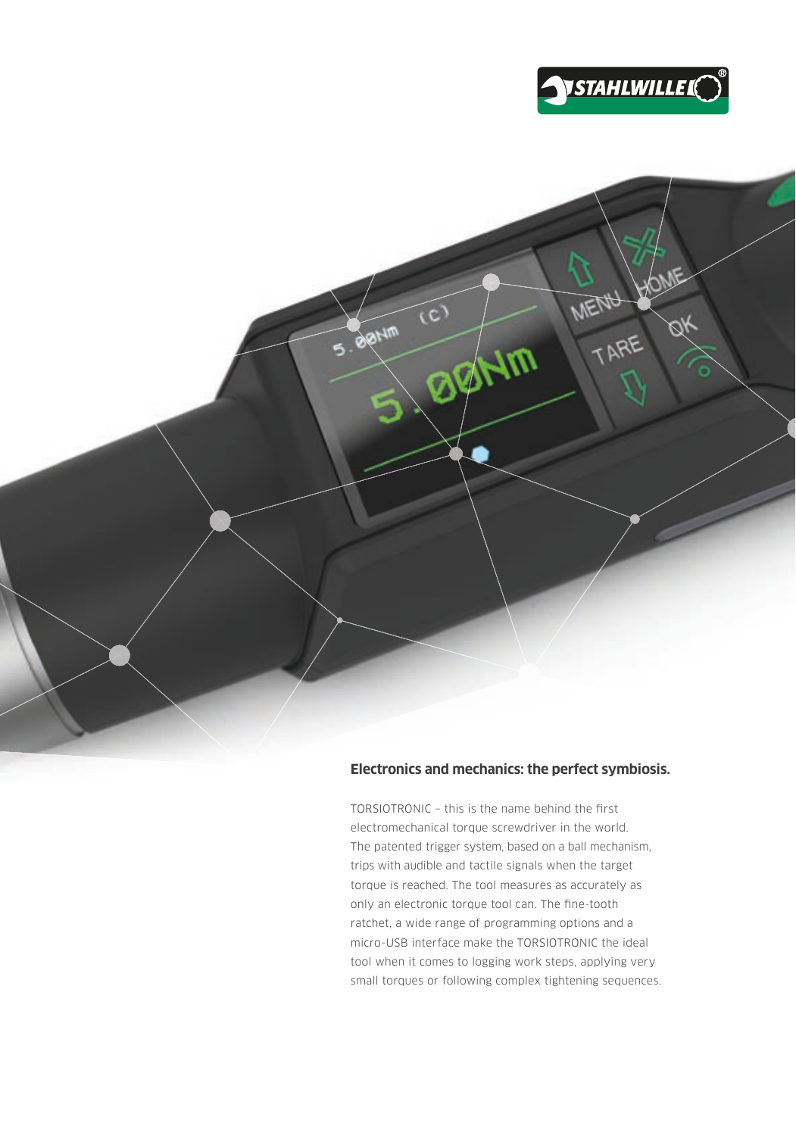



#### **Electronics and mechanics: the perfect symbiosis.**

 $TORSIOTRONIC - this is the name behind the first$ electromechanical torque screwdriver in the world. The patented trigger system, based on a ball mechanism, trips with audible and tactile signals when the target torque is reached. The tool measures as accurately as only an electronic torque tool can. The fine-tooth ratchet, a wide range of programming options and a micro-USB interface make the TORSIOTRONIC the ideal tool when it comes to logging work steps, applying very small torques or following complex tightening sequences.